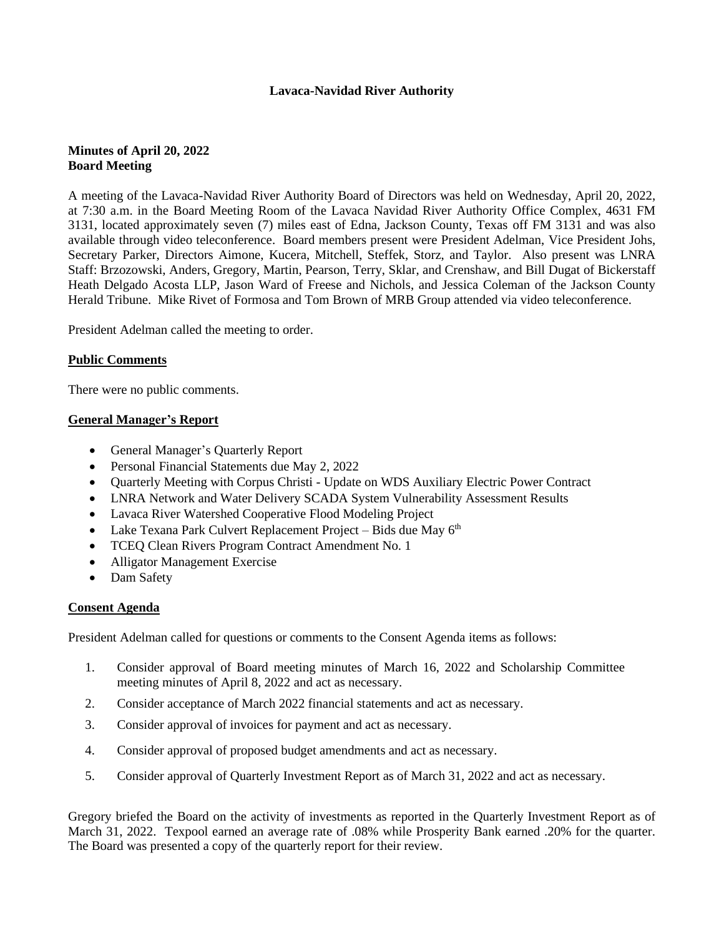# **Lavaca-Navidad River Authority**

# **Minutes of April 20, 2022 Board Meeting**

A meeting of the Lavaca-Navidad River Authority Board of Directors was held on Wednesday, April 20, 2022, at 7:30 a.m. in the Board Meeting Room of the Lavaca Navidad River Authority Office Complex, 4631 FM 3131, located approximately seven (7) miles east of Edna, Jackson County, Texas off FM 3131 and was also available through video teleconference. Board members present were President Adelman, Vice President Johs, Secretary Parker, Directors Aimone, Kucera, Mitchell, Steffek, Storz, and Taylor. Also present was LNRA Staff: Brzozowski, Anders, Gregory, Martin, Pearson, Terry, Sklar, and Crenshaw, and Bill Dugat of Bickerstaff Heath Delgado Acosta LLP, Jason Ward of Freese and Nichols, and Jessica Coleman of the Jackson County Herald Tribune. Mike Rivet of Formosa and Tom Brown of MRB Group attended via video teleconference.

President Adelman called the meeting to order.

# **Public Comments**

There were no public comments.

# **General Manager's Report**

- General Manager's Quarterly Report
- Personal Financial Statements due May 2, 2022
- Quarterly Meeting with Corpus Christi Update on WDS Auxiliary Electric Power Contract
- LNRA Network and Water Delivery SCADA System Vulnerability Assessment Results
- Lavaca River Watershed Cooperative Flood Modeling Project
- Lake Texana Park Culvert Replacement Project Bids due May  $6<sup>th</sup>$
- TCEQ Clean Rivers Program Contract Amendment No. 1
- Alligator Management Exercise
- Dam Safety

# **Consent Agenda**

President Adelman called for questions or comments to the Consent Agenda items as follows:

- 1. Consider approval of Board meeting minutes of March 16, 2022 and Scholarship Committee meeting minutes of April 8, 2022 and act as necessary.
- 2. Consider acceptance of March 2022 financial statements and act as necessary.
- 3. Consider approval of invoices for payment and act as necessary.
- 4. Consider approval of proposed budget amendments and act as necessary.
- 5. Consider approval of Quarterly Investment Report as of March 31, 2022 and act as necessary.

Gregory briefed the Board on the activity of investments as reported in the Quarterly Investment Report as of March 31, 2022. Texpool earned an average rate of .08% while Prosperity Bank earned .20% for the quarter. The Board was presented a copy of the quarterly report for their review.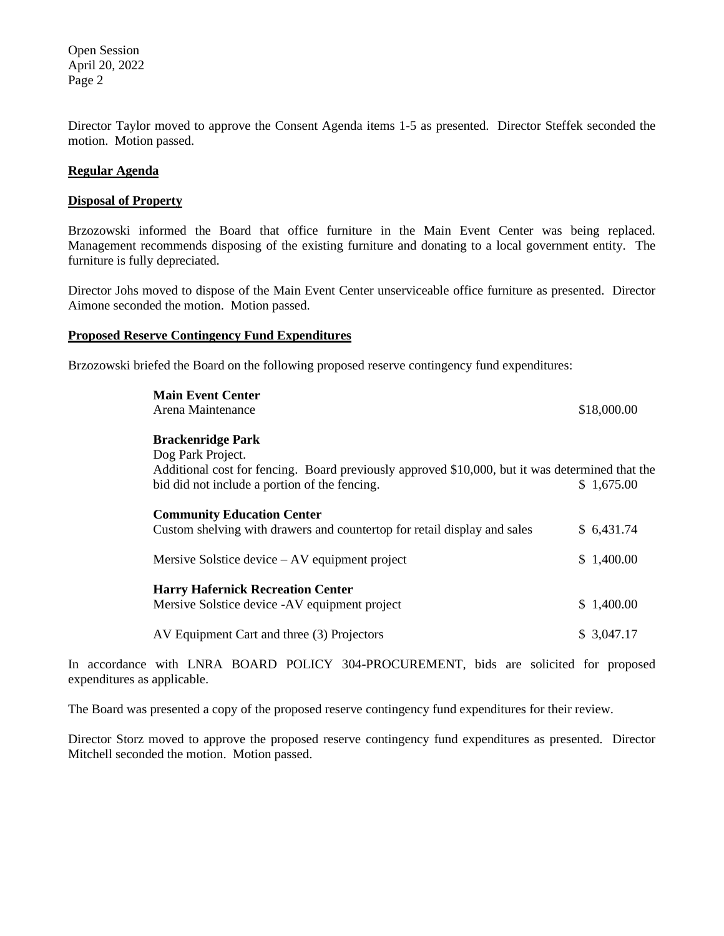Open Session April 20, 2022 Page 2

Director Taylor moved to approve the Consent Agenda items 1-5 as presented. Director Steffek seconded the motion. Motion passed.

## **Regular Agenda**

## **Disposal of Property**

Brzozowski informed the Board that office furniture in the Main Event Center was being replaced. Management recommends disposing of the existing furniture and donating to a local government entity. The furniture is fully depreciated.

Director Johs moved to dispose of the Main Event Center unserviceable office furniture as presented. Director Aimone seconded the motion. Motion passed.

# **Proposed Reserve Contingency Fund Expenditures**

Brzozowski briefed the Board on the following proposed reserve contingency fund expenditures:

| <b>Main Event Center</b><br>Arena Maintenance                                                                                                                                                     | \$18,000.00 |
|---------------------------------------------------------------------------------------------------------------------------------------------------------------------------------------------------|-------------|
| <b>Brackenridge Park</b><br>Dog Park Project.<br>Additional cost for fencing. Board previously approved \$10,000, but it was determined that the<br>bid did not include a portion of the fencing. | \$1,675.00  |
| <b>Community Education Center</b><br>Custom shelving with drawers and countertop for retail display and sales                                                                                     | \$6,431.74  |
| Mersive Solstice device $-AV$ equipment project                                                                                                                                                   | \$1,400.00  |
| <b>Harry Hafernick Recreation Center</b><br>Mersive Solstice device -AV equipment project                                                                                                         | \$1,400.00  |
| AV Equipment Cart and three (3) Projectors                                                                                                                                                        | \$ 3,047.17 |

In accordance with LNRA BOARD POLICY 304-PROCUREMENT, bids are solicited for proposed expenditures as applicable.

The Board was presented a copy of the proposed reserve contingency fund expenditures for their review.

Director Storz moved to approve the proposed reserve contingency fund expenditures as presented. Director Mitchell seconded the motion. Motion passed.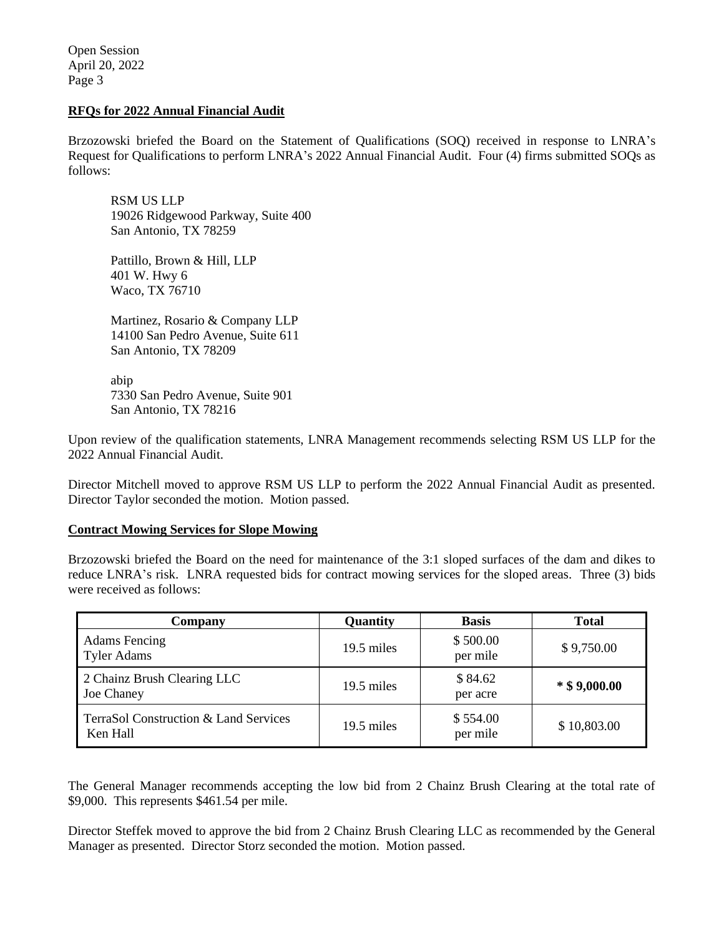Open Session April 20, 2022 Page 3

# **RFQs for 2022 Annual Financial Audit**

Brzozowski briefed the Board on the Statement of Qualifications (SOQ) received in response to LNRA's Request for Qualifications to perform LNRA's 2022 Annual Financial Audit. Four (4) firms submitted SOQs as follows:

RSM US LLP 19026 Ridgewood Parkway, Suite 400 San Antonio, TX 78259

Pattillo, Brown & Hill, LLP 401 W. Hwy 6 Waco, TX 76710

Martinez, Rosario & Company LLP 14100 San Pedro Avenue, Suite 611 San Antonio, TX 78209

abip 7330 San Pedro Avenue, Suite 901 San Antonio, TX 78216

Upon review of the qualification statements, LNRA Management recommends selecting RSM US LLP for the 2022 Annual Financial Audit.

Director Mitchell moved to approve RSM US LLP to perform the 2022 Annual Financial Audit as presented. Director Taylor seconded the motion. Motion passed.

## **Contract Mowing Services for Slope Mowing**

Brzozowski briefed the Board on the need for maintenance of the 3:1 sloped surfaces of the dam and dikes to reduce LNRA's risk. LNRA requested bids for contract mowing services for the sloped areas. Three (3) bids were received as follows:

| Company                                           | Quantity   | <b>Basis</b>         | <b>Total</b>   |
|---------------------------------------------------|------------|----------------------|----------------|
| <b>Adams</b> Fencing<br><b>Tyler Adams</b>        | 19.5 miles | \$500.00<br>per mile | \$9,750.00     |
| 2 Chainz Brush Clearing LLC<br>Joe Chaney         | 19.5 miles | \$84.62<br>per acre  | $*$ \$9,000.00 |
| TerraSol Construction & Land Services<br>Ken Hall | 19.5 miles | \$554.00<br>per mile | \$10,803.00    |

The General Manager recommends accepting the low bid from 2 Chainz Brush Clearing at the total rate of \$9,000. This represents \$461.54 per mile.

Director Steffek moved to approve the bid from 2 Chainz Brush Clearing LLC as recommended by the General Manager as presented. Director Storz seconded the motion. Motion passed.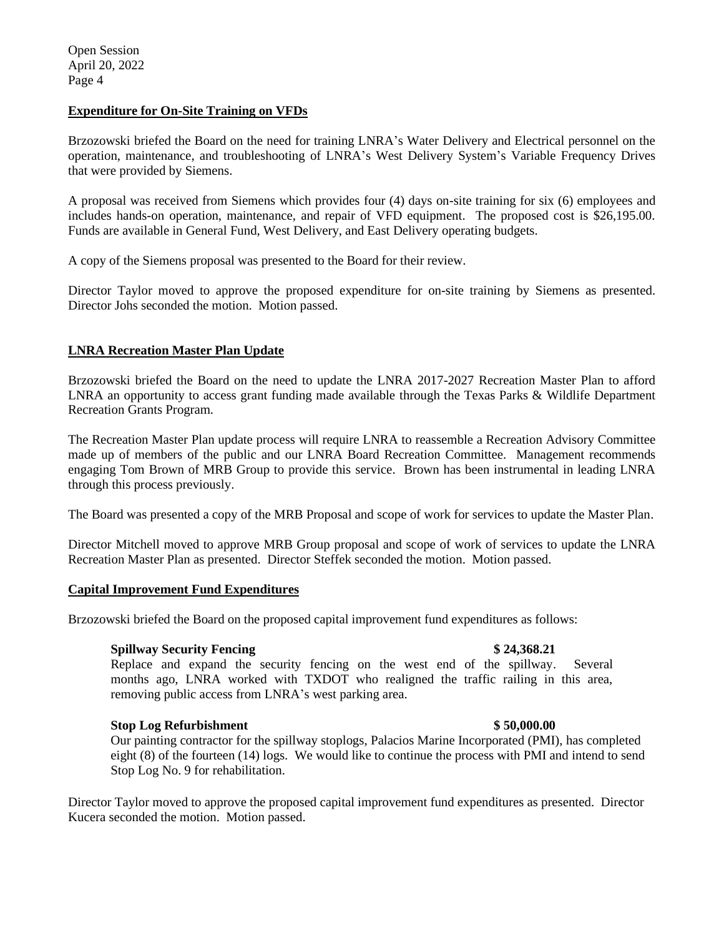# **Expenditure for On-Site Training on VFDs**

Brzozowski briefed the Board on the need for training LNRA's Water Delivery and Electrical personnel on the operation, maintenance, and troubleshooting of LNRA's West Delivery System's Variable Frequency Drives that were provided by Siemens.

A proposal was received from Siemens which provides four (4) days on-site training for six (6) employees and includes hands-on operation, maintenance, and repair of VFD equipment. The proposed cost is \$26,195.00. Funds are available in General Fund, West Delivery, and East Delivery operating budgets.

A copy of the Siemens proposal was presented to the Board for their review.

Director Taylor moved to approve the proposed expenditure for on-site training by Siemens as presented. Director Johs seconded the motion. Motion passed.

# **LNRA Recreation Master Plan Update**

Brzozowski briefed the Board on the need to update the LNRA 2017-2027 Recreation Master Plan to afford LNRA an opportunity to access grant funding made available through the Texas Parks & Wildlife Department Recreation Grants Program.

The Recreation Master Plan update process will require LNRA to reassemble a Recreation Advisory Committee made up of members of the public and our LNRA Board Recreation Committee. Management recommends engaging Tom Brown of MRB Group to provide this service. Brown has been instrumental in leading LNRA through this process previously.

The Board was presented a copy of the MRB Proposal and scope of work for services to update the Master Plan.

Director Mitchell moved to approve MRB Group proposal and scope of work of services to update the LNRA Recreation Master Plan as presented. Director Steffek seconded the motion. Motion passed.

# **Capital Improvement Fund Expenditures**

Brzozowski briefed the Board on the proposed capital improvement fund expenditures as follows:

# **Spillway Security Fencing \$ 24,368.21**

Replace and expand the security fencing on the west end of the spillway. Several months ago, LNRA worked with TXDOT who realigned the traffic railing in this area, removing public access from LNRA's west parking area.

# **Stop Log Refurbishment \$ 50,000.00**

Our painting contractor for the spillway stoplogs, Palacios Marine Incorporated (PMI), has completed eight (8) of the fourteen (14) logs. We would like to continue the process with PMI and intend to send Stop Log No. 9 for rehabilitation.

Director Taylor moved to approve the proposed capital improvement fund expenditures as presented. Director Kucera seconded the motion. Motion passed.